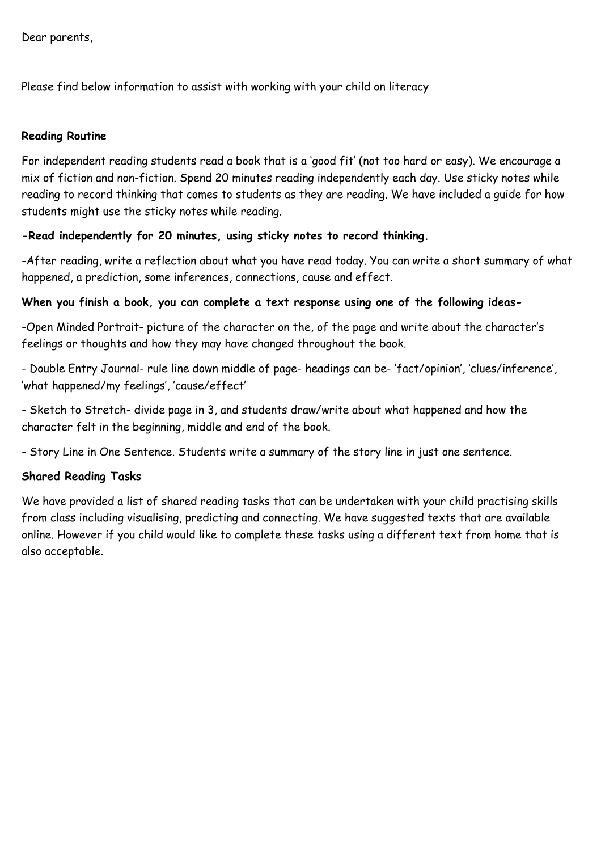Dear parents,

Please find below information to assist with working with your child on literacy

### Reading Routine

For independent reading students read a book that is a 'good fit' (not too hard or easy). We encourage a mix of fiction and non-fiction. Spend 20 minutes reading independently each day. Use sticky notes while reading to record thinking that comes to students as they are reading. We have included a guide for how students might use the sticky notes while reading.

## -Read independently for 20 minutes, using sticky notes to record thinking.

-After reading, write a reflection about what you have read today. You can write a short summary of what happened, a prediction, some inferences, connections, cause and effect.

## When you finish a book, you can complete a text response using one of the following ideas-

-Open Minded Portrait- picture of the character on the, of the page and write about the character's feelings or thoughts and how they may have changed throughout the book.

- Double Entry Journal- rule line down middle of page- headings can be- 'fact/opinion', 'clues/inference', 'what happened/my feelings', 'cause/effect'

- Sketch to Stretch- divide page in 3, and students draw/write about what happened and how the character felt in the beginning, middle and end of the book.

- Story Line in One Sentence. Students write a summary of the story line in just one sentence.

## Shared Reading Tasks

We have provided a list of shared reading tasks that can be undertaken with your child practising skills from class including visualising, predicting and connecting. We have suggested texts that are available online. However if you child would like to complete these tasks using a different text from home that is also acceptable.